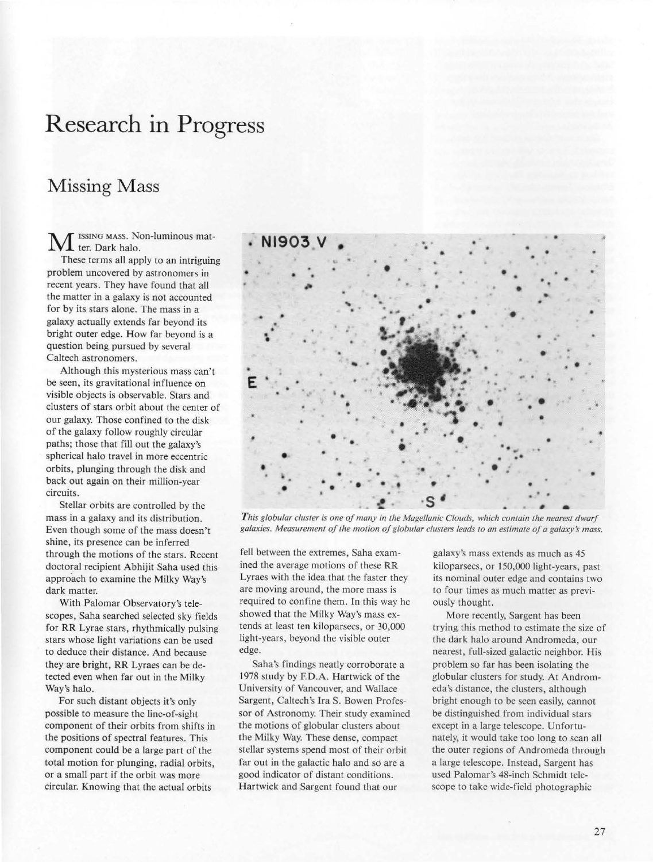## Research in Progress

## Missing Mass

ISSING MASS. Non-luminous matter. Dark halo.

These terms all apply to an intriguing problem uncovered by astronomers in recent years. They have found that all the matter in a galaxy is not accounted for by its stars alone. The mass in a galaxy actually extends far beyond its bright outer edge. How far beyond is a question being pursued by several Caltech astronomers.

Although this mysterious mass can't be seen, its gravitational influence on visible objects is observable. Stars and clusters of stars orbit about the center of our galaxy. Those confined to the disk of the galaxy follow roughly circular paths; those that fill out the galaxy's spherical halo travel in more eccentric orbits, plunging through the disk and back out again on their million-year circuits.

Stellar orbits are controlled by the mass in a galaxy and its distribution. Even though some of the mass doesn't shine, its presence can be inferred through the motions of the stars. Recent doctoral recipient Abhijit Saha used this approach to examine the Milky Way's dark matter.

With Palomar Observatory's telescopes, Saha searched selected sky fields for RR Lyrae stars, rhythmically pulsing stars whose light variations can be used to deduce their distance. And because they are bright, RR Lyraes can be detected even when far out in the Milky Way's halo.

For such distant objects it's only possible to measure the line-of-sight component of their orbits from shifts in the positions of spectral features. This component could be a large part of the total motion for plunging, radial orbits, or a small part if the orbit was more circular. Knowing that the actual orbits



*This globular cluster is one of many in the Magellanic Clouds, which contain the nearest dwarf* galaxies. Measurement of the motion of globular clusters leads to an estimate of a galaxy's mass.

fell between the extremes, Saha examined the average motions of these RR Lyraes with the idea that the faster they are moving around, the more mass is required to confine them. In this way he showed that the Milky Way's mass extends at least ten kiloparsecs, or 30,000 light-years, beyond the visible outer edge.

Saha's findings neatly corroborate a 1978 study by F.D.A. Hartwick of the University of Vancouver, and Wallace Sargent, Caltech's Ira S. Bowen Professor of Astronomy. Their study examined the motions of globular clusters about the Milky Way. These dense, compact stellar systems spend most of their orbit far out in the galactic halo and so are a good indicator of distant conditions. Hartwick and Sargent found that our

galaxy's mass extends as much as 45 kiloparsecs, or 150,000 light-years, past its nominal outer edge and contains two to four times as much matter as previously thought.

More recently, Sargent has been trying this method to estimate the size of the dark halo around Andromeda, our nearest, full-sized galactic neighbor. His problem so far has been isolating the globular clusters for study. At Andromeda's distance, the clusters, although bright enough to be seen easily, cannot be distinguished from individual stars except in a large telescope. Unfortunately, it would take too long to scan all the outer regions of Andromeda through a large telescope. Instead, Sargent has used Palomar's 48-inch Schmidt telescope to take wide-field photographic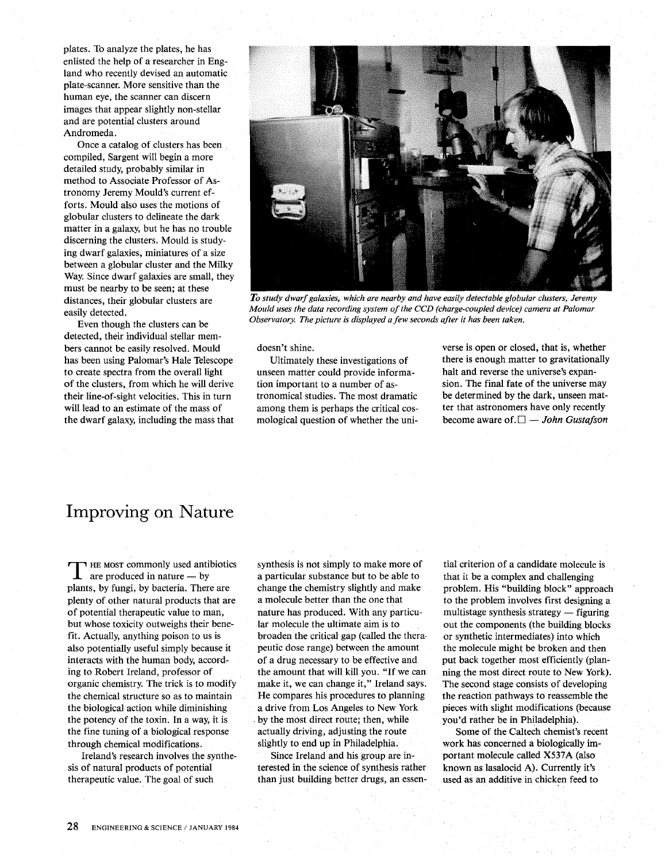plates. To analyze the plates, he has enlisted the help of a researcher in England who recently devised an automatic plate-scanner. More sensitive than the human eye, the scanner can discern images that appear slightly non-stellar and are potential clusters around Andromeda.

Once a catalog of clusters has been compiled, Sargent will begin a more detailed study, probably similar in method to Associate Professor of Astronomy Jeremy Mould's current efforts. Mould also uses the motions of globular clusters to delineate the dark matter in a galaxy, but he has no trouble discerning the clusters. Mould is studying dwarf galaxies, miniatures of a size between a globular cluster and the Milky Way. Since dwarf galaxies are small, they must be nearby to be seen; at these distances, their globular clusters are easily detected.

Even though the clusters can be detected, their individual stellar members cannot be easily resolved. Mould has been using Palomar's Hale Telescope to create spectra from the overall light of the clusters, from which he will derive their line-of-sight velocities. This in turn will lead to an estimate of the mass of the dwarf galaxy, including the mass that



*To study dwarf galaxies, which are nearby and have easily detectable globular clusters, Jeremy Mould uses the data recording system of the CCD (charge-coupled device) camera at Palomar Observatory. The picture* is *displayed a few seconds after it has been taken.* 

doesn't shine.

Ultimately these investigations of unseen matter could provide information important to a number of astronomical studies. The most dramatic among them is perhaps the critical cosmological question of whether the universe is open or closed, that is, whether there is enough matter to gravitationally halt and reverse the universe's expansion. The final fate of the universe may be determined by the dark, unseen matter that astronomers have only recently become aware of.  $\square$   $-$  *John Gustafson* 

## Improving on Nature

THE MOST commonly used antibiotics  $\perp$  are produced in nature — by plants, by fungi, by bacteria. There are plenty of other natural products that are of potential therapeutic value to man, but whose toxicity outweighs their benefit. Actually, anything poison to us is also potentially useful simply because it interacts with the human body, according to Robert Ireland, professor of organic chemistry. The trick is to modify the chemical structure so as to maintain the biological action while diminishing the potency of the toxin. In a way, it is the fine tuning of a biological response through chemical modifications.

Ireland's research involves the synthesis of natural products of potential therapeutic value. The goal of such

synthesis is not simply to make more of a particular substance but to be able to change the chemistry slightly and make a molecule better than the one that nature has produced. With any particular molecule the ultimate aim is to broaden the critical gap (called the thera· peutic dose range) between the amount of a drug necessary to be effective and the amount that will kill you. "If we can make it, we can change it," Ireland says. He compares his procedures to planning a drive from Los Angeles to New York . by the most direct route; then, while actually driving, adjusting the route slightly to end up in Philadelphia.

Since Ireland and his group are in*tetested* in the science of synthesis rather than just building better drugs, an essential criterion of a candidate molecule is that it be a complex and challenging problem. His "building block" approach to the problem involves first designing a multistage synthesis strategy  $-$  figuring out the components (the building blocks or synthetic intermediates) into which the molecule might be broken and then put back together most efficiently (planning the most direct route to New York). The second stage consists of developing the reaction pathways to reassemble the pieces with slight modifications (because you'd rather be in Philadelphia).

Some of the Caltech chemist's recent work has concerned a biologically important molecule called X537A (also known as lasalocid A). Currently it's used as an additive in chicken feed to